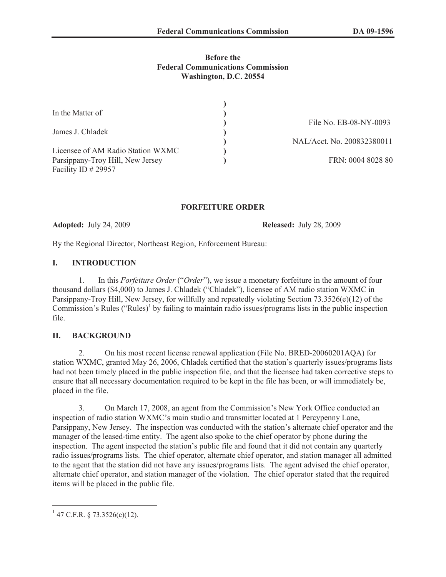### **Before the Federal Communications Commission Washington, D.C. 20554**

| In the Matter of                  |                            |
|-----------------------------------|----------------------------|
|                                   | File No. EB-08-NY-0093     |
| James J. Chladek                  |                            |
|                                   | NAL/Acct. No. 200832380011 |
| Licensee of AM Radio Station WXMC |                            |
| Parsippany-Troy Hill, New Jersey  | FRN: 0004 8028 80          |
| Facility ID $\#$ 29957            |                            |

### **FORFEITURE ORDER**

**Adopted:** July 24, 2009 **Released:** July 28, 2009

By the Regional Director, Northeast Region, Enforcement Bureau:

### **I. INTRODUCTION**

1. In this *Forfeiture Order* ("*Order*"), we issue a monetary forfeiture in the amount of four thousand dollars (\$4,000) to James J. Chladek ("Chladek"), licensee of AM radio station WXMC in Parsippany-Troy Hill, New Jersey, for willfully and repeatedly violating Section 73.3526(e)(12) of the Commission's Rules ("Rules)<sup>1</sup> by failing to maintain radio issues/programs lists in the public inspection file.

### **II. BACKGROUND**

2. On his most recent license renewal application (File No. BRED-20060201AQA) for station WXMC, granted May 26, 2006, Chladek certified that the station's quarterly issues/programs lists had not been timely placed in the public inspection file, and that the licensee had taken corrective steps to ensure that all necessary documentation required to be kept in the file has been, or will immediately be, placed in the file.

3. On March 17, 2008, an agent from the Commission's New York Office conducted an inspection of radio station WXMC's main studio and transmitter located at 1 Percypenny Lane, Parsippany, New Jersey. The inspection was conducted with the station's alternate chief operator and the manager of the leased-time entity. The agent also spoke to the chief operator by phone during the inspection. The agent inspected the station's public file and found that it did not contain any quarterly radio issues/programs lists. The chief operator, alternate chief operator, and station manager all admitted to the agent that the station did not have any issues/programs lists. The agent advised the chief operator, alternate chief operator, and station manager of the violation. The chief operator stated that the required items will be placed in the public file.

 $1$  47 C.F.R. § 73.3526(e)(12).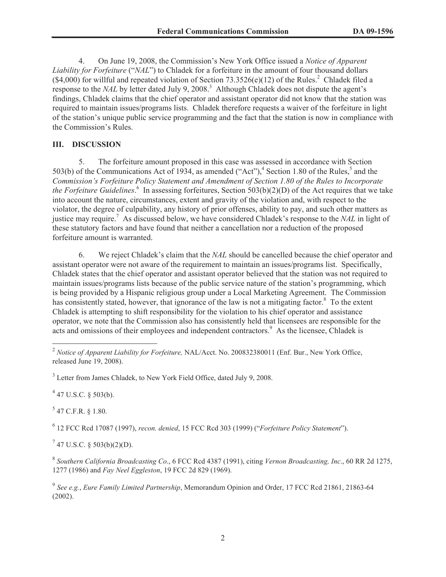4. On June 19, 2008, the Commission's New York Office issued a *Notice of Apparent Liability for Forfeiture* ("*NAL*") to Chladek for a forfeiture in the amount of four thousand dollars  $($ \$4,000) for willful and repeated violation of Section 73.3526(e)(12) of the Rules.<sup>2</sup> Chladek filed a response to the *NAL* by letter dated July 9, 2008.<sup>3</sup> Although Chladek does not dispute the agent's findings, Chladek claims that the chief operator and assistant operator did not know that the station was required to maintain issues/programs lists. Chladek therefore requests a waiver of the forfeiture in light of the station's unique public service programming and the fact that the station is now in compliance with the Commission's Rules.

# **III. DISCUSSION**

5. The forfeiture amount proposed in this case was assessed in accordance with Section 503(b) of the Communications Act of 1934, as amended ("Act"), <sup>4</sup> Section 1.80 of the Rules,  $5$  and the *Commission's Forfeiture Policy Statement and Amendment of Section 1.80 of the Rules to Incorporate the Forfeiture Guidelines*. 6 In assessing forfeitures, Section 503(b)(2)(D) of the Act requires that we take into account the nature, circumstances, extent and gravity of the violation and, with respect to the violator, the degree of culpability, any history of prior offenses, ability to pay, and such other matters as justice may require.<sup>7</sup> As discussed below, we have considered Chladek's response to the *NAL* in light of these statutory factors and have found that neither a cancellation nor a reduction of the proposed forfeiture amount is warranted.

6. We reject Chladek's claim that the *NAL* should be cancelled because the chief operator and assistant operator were not aware of the requirement to maintain an issues/programs list. Specifically, Chladek states that the chief operator and assistant operator believed that the station was not required to maintain issues/programs lists because of the public service nature of the station's programming, which is being provided by a Hispanic religious group under a Local Marketing Agreement. The Commission has consistently stated, however, that ignorance of the law is not a mitigating factor.<sup>8</sup> To the extent Chladek is attempting to shift responsibility for the violation to his chief operator and assistance operator, we note that the Commission also has consistently held that licensees are responsible for the acts and omissions of their employees and independent contractors.<sup>9</sup> As the licensee, Chladek is

 $4$  47 U.S.C. § 503(b).

 $5$  47 C.F.R. § 1.80.

6 12 FCC Rcd 17087 (1997), *recon. denied*, 15 FCC Rcd 303 (1999) ("*Forfeiture Policy Statement*").

 $7$  47 U.S.C. § 503(b)(2)(D).

<sup>2</sup> *Notice of Apparent Liability for Forfeiture,* NAL/Acct. No. 200832380011 (Enf. Bur., New York Office, released June 19, 2008).

<sup>&</sup>lt;sup>3</sup> Letter from James Chladek, to New York Field Office, dated July 9, 2008.

<sup>8</sup> *Southern California Broadcasting Co*., 6 FCC Rcd 4387 (1991), citing *Vernon Broadcasting, Inc*., 60 RR 2d 1275, 1277 (1986) and *Fay Neel Eggleston*, 19 FCC 2d 829 (1969).

<sup>9</sup> *See e.g.*, *Eure Family Limited Partnership*, Memorandum Opinion and Order, 17 FCC Rcd 21861, 21863-64 (2002).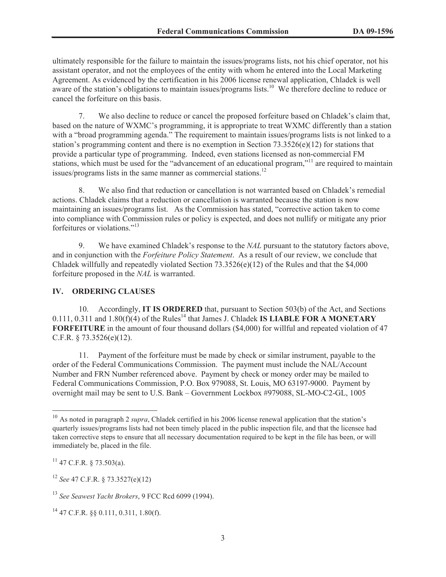ultimately responsible for the failure to maintain the issues/programs lists, not his chief operator, not his assistant operator, and not the employees of the entity with whom he entered into the Local Marketing Agreement. As evidenced by the certification in his 2006 license renewal application, Chladek is well aware of the station's obligations to maintain issues/programs lists.<sup>10</sup> We therefore decline to reduce or cancel the forfeiture on this basis.

7. We also decline to reduce or cancel the proposed forfeiture based on Chladek's claim that, based on the nature of WXMC's programming, it is appropriate to treat WXMC differently than a station with a "broad programming agenda." The requirement to maintain issues/programs lists is not linked to a station's programming content and there is no exemption in Section 73.3526(e)(12) for stations that provide a particular type of programming. Indeed, even stations licensed as non-commercial FM stations, which must be used for the "advancement of an educational program,"<sup>11</sup> are required to maintain issues/programs lists in the same manner as commercial stations.<sup>12</sup>

8. We also find that reduction or cancellation is not warranted based on Chladek's remedial actions. Chladek claims that a reduction or cancellation is warranted because the station is now maintaining an issues/programs list. As the Commission has stated, "corrective action taken to come into compliance with Commission rules or policy is expected, and does not nullify or mitigate any prior forfeitures or violations."<sup>13</sup>

9. We have examined Chladek's response to the *NAL* pursuant to the statutory factors above, and in conjunction with the *Forfeiture Policy Statement*. As a result of our review, we conclude that Chladek willfully and repeatedly violated Section 73.3526(e)(12) of the Rules and that the \$4,000 forfeiture proposed in the *NAL* is warranted.

### **IV. ORDERING CLAUSES**

10. Accordingly, **IT IS ORDERED** that, pursuant to Section 503(b) of the Act, and Sections  $0.111$ ,  $0.311$  and  $1.80(f)(4)$  of the Rules<sup>14</sup> that James J. Chladek **IS LIABLE FOR A MONETARY FORFEITURE** in the amount of four thousand dollars (\$4,000) for willful and repeated violation of 47 C.F.R. § 73.3526(e)(12).

11. Payment of the forfeiture must be made by check or similar instrument, payable to the order of the Federal Communications Commission. The payment must include the NAL/Account Number and FRN Number referenced above. Payment by check or money order may be mailed to Federal Communications Commission, P.O. Box 979088, St. Louis, MO 63197-9000. Payment by overnight mail may be sent to U.S. Bank – Government Lockbox #979088, SL-MO-C2-GL, 1005

<sup>&</sup>lt;sup>10</sup> As noted in paragraph 2 *supra*, Chladek certified in his 2006 license renewal application that the station's quarterly issues/programs lists had not been timely placed in the public inspection file, and that the licensee had taken corrective steps to ensure that all necessary documentation required to be kept in the file has been, or will immediately be, placed in the file.

 $11$  47 C.F.R. § 73.503(a).

<sup>12</sup> *See* 47 C.F.R. § 73.3527(e)(12)

<sup>13</sup> *See Seawest Yacht Brokers*, 9 FCC Rcd 6099 (1994).

 $^{14}$  47 C.F.R. §§ 0.111, 0.311, 1.80(f).